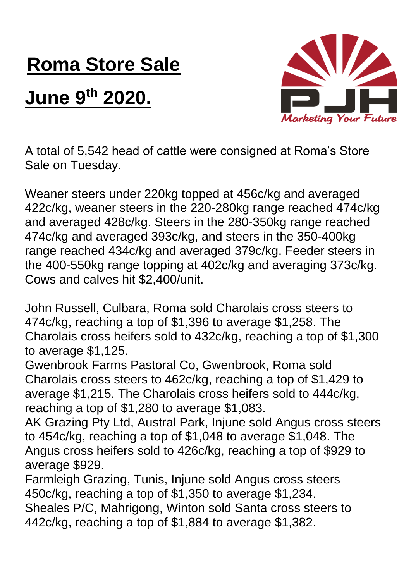## **Roma Store Sale**

## **June 9th 2020.**



A total of 5,542 head of cattle were consigned at Roma's Store Sale on Tuesday.

Weaner steers under 220kg topped at 456c/kg and averaged 422c/kg, weaner steers in the 220-280kg range reached 474c/kg and averaged 428c/kg. Steers in the 280-350kg range reached 474c/kg and averaged 393c/kg, and steers in the 350-400kg range reached 434c/kg and averaged 379c/kg. Feeder steers in the 400-550kg range topping at 402c/kg and averaging 373c/kg. Cows and calves hit \$2,400/unit.

John Russell, Culbara, Roma sold Charolais cross steers to 474c/kg, reaching a top of \$1,396 to average \$1,258. The Charolais cross heifers sold to 432c/kg, reaching a top of \$1,300 to average \$1,125.

Gwenbrook Farms Pastoral Co, Gwenbrook, Roma sold Charolais cross steers to 462c/kg, reaching a top of \$1,429 to average \$1,215. The Charolais cross heifers sold to 444c/kg, reaching a top of \$1,280 to average \$1,083.

AK Grazing Pty Ltd, Austral Park, Injune sold Angus cross steers to 454c/kg, reaching a top of \$1,048 to average \$1,048. The Angus cross heifers sold to 426c/kg, reaching a top of \$929 to average \$929.

Farmleigh Grazing, Tunis, Injune sold Angus cross steers 450c/kg, reaching a top of \$1,350 to average \$1,234. Sheales P/C, Mahrigong, Winton sold Santa cross steers to 442c/kg, reaching a top of \$1,884 to average \$1,382.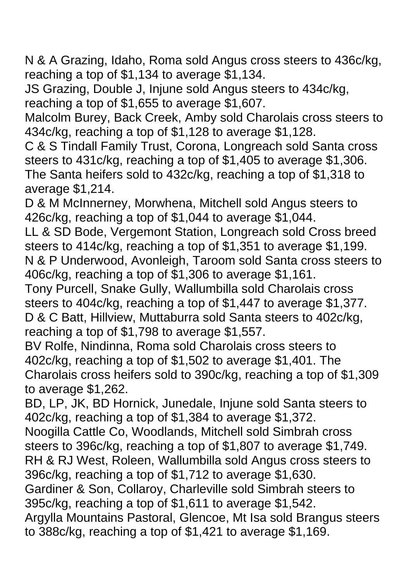N & A Grazing, Idaho, Roma sold Angus cross steers to 436c/kg, reaching a top of \$1,134 to average \$1,134.

JS Grazing, Double J, Injune sold Angus steers to 434c/kg, reaching a top of \$1,655 to average \$1,607.

Malcolm Burey, Back Creek, Amby sold Charolais cross steers to 434c/kg, reaching a top of \$1,128 to average \$1,128.

C & S Tindall Family Trust, Corona, Longreach sold Santa cross steers to 431c/kg, reaching a top of \$1,405 to average \$1,306. The Santa heifers sold to 432c/kg, reaching a top of \$1,318 to average \$1,214.

D & M McInnerney, Morwhena, Mitchell sold Angus steers to 426c/kg, reaching a top of \$1,044 to average \$1,044.

LL & SD Bode, Vergemont Station, Longreach sold Cross breed steers to 414c/kg, reaching a top of \$1,351 to average \$1,199. N & P Underwood, Avonleigh, Taroom sold Santa cross steers to 406c/kg, reaching a top of \$1,306 to average \$1,161.

Tony Purcell, Snake Gully, Wallumbilla sold Charolais cross steers to 404c/kg, reaching a top of \$1,447 to average \$1,377. D & C Batt, Hillview, Muttaburra sold Santa steers to 402c/kg, reaching a top of \$1,798 to average \$1,557.

BV Rolfe, Nindinna, Roma sold Charolais cross steers to 402c/kg, reaching a top of \$1,502 to average \$1,401. The Charolais cross heifers sold to 390c/kg, reaching a top of \$1,309 to average \$1,262.

BD, LP, JK, BD Hornick, Junedale, Injune sold Santa steers to 402c/kg, reaching a top of \$1,384 to average \$1,372.

Noogilla Cattle Co, Woodlands, Mitchell sold Simbrah cross steers to 396c/kg, reaching a top of \$1,807 to average \$1,749. RH & RJ West, Roleen, Wallumbilla sold Angus cross steers to

396c/kg, reaching a top of \$1,712 to average \$1,630.

Gardiner & Son, Collaroy, Charleville sold Simbrah steers to 395c/kg, reaching a top of \$1,611 to average \$1,542.

Argylla Mountains Pastoral, Glencoe, Mt Isa sold Brangus steers to 388c/kg, reaching a top of \$1,421 to average \$1,169.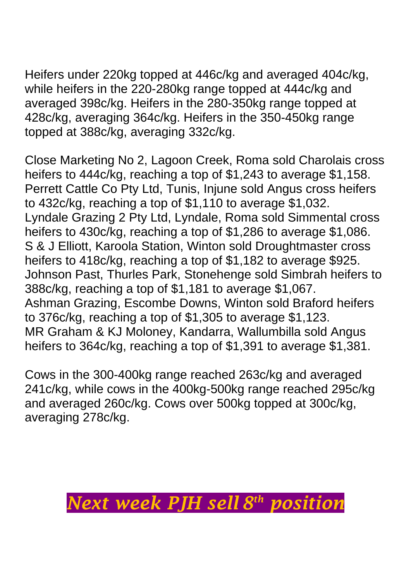Heifers under 220kg topped at 446c/kg and averaged 404c/kg, while heifers in the 220-280kg range topped at 444c/kg and averaged 398c/kg. Heifers in the 280-350kg range topped at 428c/kg, averaging 364c/kg. Heifers in the 350-450kg range topped at 388c/kg, averaging 332c/kg.

Close Marketing No 2, Lagoon Creek, Roma sold Charolais cross heifers to 444c/kg, reaching a top of \$1,243 to average \$1,158. Perrett Cattle Co Pty Ltd, Tunis, Injune sold Angus cross heifers to 432c/kg, reaching a top of \$1,110 to average \$1,032. Lyndale Grazing 2 Pty Ltd, Lyndale, Roma sold Simmental cross heifers to 430c/kg, reaching a top of \$1,286 to average \$1,086. S & J Elliott, Karoola Station, Winton sold Droughtmaster cross heifers to 418c/kg, reaching a top of \$1,182 to average \$925. Johnson Past, Thurles Park, Stonehenge sold Simbrah heifers to 388c/kg, reaching a top of \$1,181 to average \$1,067. Ashman Grazing, Escombe Downs, Winton sold Braford heifers to 376c/kg, reaching a top of \$1,305 to average \$1,123. MR Graham & KJ Moloney, Kandarra, Wallumbilla sold Angus heifers to 364c/kg, reaching a top of \$1,391 to average \$1,381.

Cows in the 300-400kg range reached 263c/kg and averaged 241c/kg, while cows in the 400kg-500kg range reached 295c/kg and averaged 260c/kg. Cows over 500kg topped at 300c/kg, averaging 278c/kg.